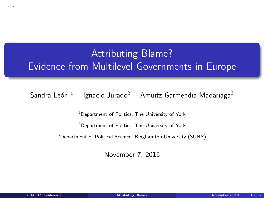# Attributing Blame? Evidence from Multilevel Governments in Europe

Sandra León  $^1$  Ignacio Jurado $^2$  Amuitz Garmendia Madariaga $^3$ 

<sup>1</sup>Department of Politics, The University of York

<sup>2</sup>Department of Politics, The University of York

<sup>3</sup>Department of Political Science, Binghamton University (SUNY)

November 7, 2015

<span id="page-0-0"></span>. .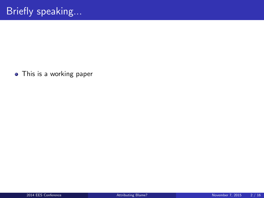This is a working paper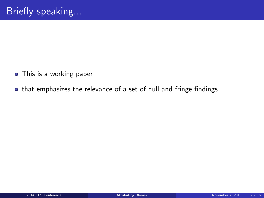- This is a working paper
- that emphasizes the relevance of a set of null and fringe findings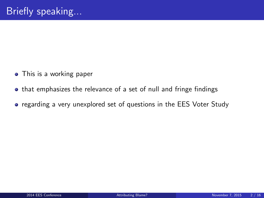- This is a working paper
- that emphasizes the relevance of a set of null and fringe findings
- regarding a very unexplored set of questions in the EES Voter Study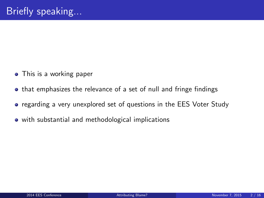- This is a working paper
- that emphasizes the relevance of a set of null and fringe findings
- regarding a very unexplored set of questions in the EES Voter Study
- with substantial and methodological implications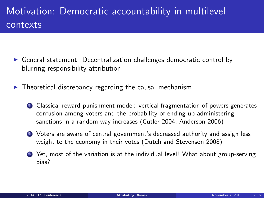# Motivation: Democratic accountability in multilevel contexts

- $\triangleright$  General statement: Decentralization challenges democratic control by blurring responsibility attribution
- $\triangleright$  Theoretical discrepancy regarding the causal mechanism
	- <sup>1</sup> Classical reward-punishment model: vertical fragmentation of powers generates confusion among voters and the probability of ending up administering sanctions in a random way increases (Cutler 2004, Anderson 2006)
	- <sup>2</sup> Voters are aware of central government's decreased authority and assign less weight to the economy in their votes (Dutch and Stevenson 2008)
	- <sup>3</sup> Yet, most of the variation is at the individual level! What about group-serving bias?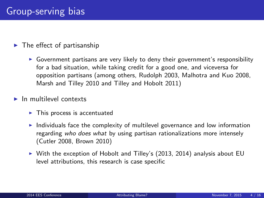### $\blacktriangleright$  The effect of partisanship

 $\triangleright$  Government partisans are very likely to deny their government's responsibility for a bad situation, while taking credit for a good one, and viceversa for opposition partisans (among others, Rudolph 2003, Malhotra and Kuo 2008, Marsh and Tilley 2010 and Tilley and Hobolt 2011)

### $\blacktriangleright$  In multilevel contexts

- $\blacktriangleright$  This process is accentuated
- Individuals face the complexity of multilevel governance and low information regarding who does what by using partisan rationalizations more intensely (Cutler 2008, Brown 2010)
- $\triangleright$  With the exception of Hobolt and Tilley's (2013, 2014) analysis about EU level attributions, this research is case specific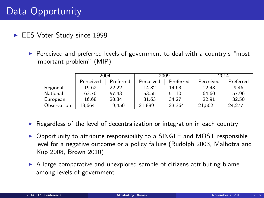# Data Opportunity

- EES Voter Study since 1999
	- $\triangleright$  Perceived and preferred levels of government to deal with a country's "most important problem" (MIP)

|             | 2004      |           | 2009      |           | 2014                |           |
|-------------|-----------|-----------|-----------|-----------|---------------------|-----------|
|             | Perceived | Preferred | Perceived | Preferred | Perceived           | Preferred |
| Regional    | 19.62     | 22.22     | 14.82     | 14.63     | 12.48               | 9.46      |
| National    | 63.70     | 57.43     | 53.55     | 51.10     | 64.60               | 57.96     |
| European    | 16.68     | 20.34     | 31.63     | 34.27     | 22.91               | 32.50     |
| Observation | 18.664    | 19.450    | 21.889    | 23.364    | $21.\overline{502}$ | 24.277    |

- $\triangleright$  Regardless of the level of decentralization or integration in each country
- $\triangleright$  Opportunity to attribute responsibility to a SINGLE and MOST responsible level for a negative outcome or a policy failure (Rudolph 2003, Malhotra and Kup 2008, Brown 2010)
- $\triangleright$  A large comparative and unexplored sample of citizens attributing blame among levels of government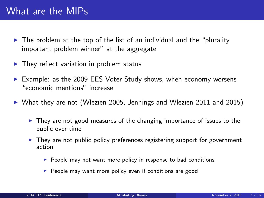# What are the MIPs

- $\triangleright$  The problem at the top of the list of an individual and the "plurality important problem winner" at the aggregate
- $\blacktriangleright$  They reflect variation in problem status
- Example: as the 2009 EES Voter Study shows, when economy worsens "economic mentions" increase
- $\triangleright$  What they are not (Wlezien 2005, Jennings and Wlezien 2011 and 2015)
	- $\triangleright$  They are not good measures of the changing importance of issues to the public over time
	- $\triangleright$  They are not public policy preferences registering support for government action
		- $\blacktriangleright$  People may not want more policy in response to bad conditions
		- $\blacktriangleright$  People may want more policy even if conditions are good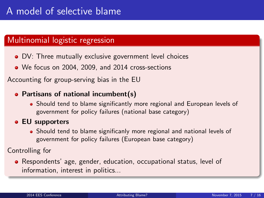# A model of selective blame

## Multinomial logistic regression

- DV: Three mutually exclusive government level choices
- We focus on 2004, 2009, and 2014 cross-sections

Accounting for group-serving bias in the EU

### • Partisans of national incumbent(s)

- Should tend to blame significantly more regional and European levels of government for policy failures (national base category)
- **EU supporters** 
	- Should tend to blame significanly more regional and national levels of government for policy failures (European base category)

Controlling for

Respondents' age, gender, education, occupational status, level of information, interest in politics...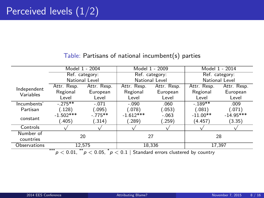|              | Model 1 - 2004 |             | Model 1 - 2009 |             | Model 1 - 2014 |             |  |
|--------------|----------------|-------------|----------------|-------------|----------------|-------------|--|
|              | Ref. category: |             | Ref. category: |             | Ref. category: |             |  |
|              | National Level |             | National Level |             | National Level |             |  |
| Independent  | Attr. Resp.    | Attr. Resp. | Attr. Resp.    | Attr. Resp. | Attr. Resp.    | Attr. Resp. |  |
| Variables    | Regional       | European    | Regional       | European    | Regional       | European    |  |
|              | Level          | Level       | Level          | Level       | Level          | Level       |  |
| Incumbents'  | $-275**$       | $-.071$     | $-.090$        | .060        | $-.189**$      | .009        |  |
| Partisan     | (.128)         | (.095)      | (.078)         | (.053)      | (.081)         | (.071)      |  |
| constant     | $-1.502***$    | $-.775**$   | $-1.612***$    | $-.063$     | $-11.00**$     | $-14.95***$ |  |
|              | (.405)         | (.314)      | (.289)         | (.259)      | (4.457)        | (3.35)      |  |
| Controls     |                |             |                |             |                |             |  |
| Number of    | 20             |             | 27             |             | 28             |             |  |
| countries    |                |             |                |             |                |             |  |
| Observations | 12.575         |             | 18.336         |             | 17,397         |             |  |
|              | ***<br>**      |             |                |             |                |             |  |

### Table: Partisans of national incumbent(s) parties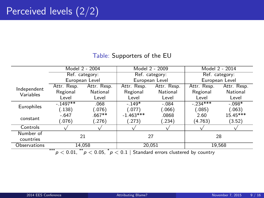### Table: Supporters of the EU

|                                                                                                                                                                           | Model 2 - 2004 |             | Model 2 - 2009 |             | Model 2 - 2014 |             |
|---------------------------------------------------------------------------------------------------------------------------------------------------------------------------|----------------|-------------|----------------|-------------|----------------|-------------|
|                                                                                                                                                                           | Ref. category: |             | Ref. category: |             | Ref. category: |             |
|                                                                                                                                                                           | European Level |             | European Level |             | European Level |             |
| Independent                                                                                                                                                               | Attr. Resp.    | Attr. Resp. | Attr. Resp.    | Attr. Resp. | Attr. Resp.    | Attr. Resp. |
| Variables                                                                                                                                                                 | Regional       | National    | Regional       | National    | Regional       | National    |
|                                                                                                                                                                           | Level          | Level       | Level          | Level       | Level          | Level       |
| Europhiles                                                                                                                                                                | $-.1497**$     | .068        | $-149*$        | $-.084$     | $-.234***$     | $-.098*$    |
|                                                                                                                                                                           | (.138)         | (076)       | (.077)         | (0.066)     | (.085)         | (.063)      |
| constant                                                                                                                                                                  | $-.647$        | $.667**$    | $-1.463***$    | .0868       | 2.60           | 15.45***    |
|                                                                                                                                                                           | (.076)         | (276)       | (.273)         | (.234)      | (4.763)        | (3.52)      |
| Controls                                                                                                                                                                  |                |             |                |             |                |             |
| Number of<br>countries                                                                                                                                                    | 21             |             | 27             |             | 28             |             |
| Observations                                                                                                                                                              | 14.058         |             | 20.051         |             | 19.568         |             |
| ***<br>$\overline{\phantom{a}}$<br>$\sim$ 0.01<br>$\tilde{c}$ , and $\tilde{c}$ , and $\tilde{c}$ , and $\tilde{c}$ , and $\tilde{c}$ , and $\tilde{c}$ , and $\tilde{c}$ |                |             |                |             |                |             |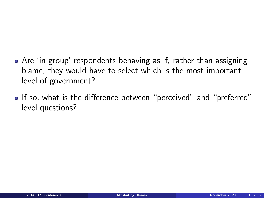- Are 'in group' respondents behaving as if, rather than assigning blame, they would have to select which is the most important level of government?
- If so, what is the difference between "perceived" and "preferred" level questions?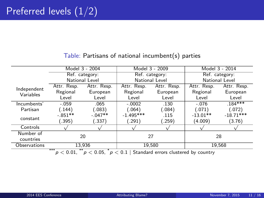|                                                                                                                                               | Model 3 - 2004 |             | Model 3 - 2009 |             | Model 3 - 2014 |             |  |
|-----------------------------------------------------------------------------------------------------------------------------------------------|----------------|-------------|----------------|-------------|----------------|-------------|--|
|                                                                                                                                               | Ref. category: |             | Ref. category: |             | Ref. category: |             |  |
|                                                                                                                                               | National Level |             | National Level |             | National Level |             |  |
| Independent                                                                                                                                   | Attr. Resp.    | Attr. Resp. | Attr. Resp.    | Attr. Resp. | Attr. Resp.    | Attr. Resp. |  |
| Variables                                                                                                                                     | Regional       | European    | Regional       | European    | Regional       | European    |  |
|                                                                                                                                               | Level          | Level       | Level          | Level       | Level          | Level       |  |
| Incumbents'                                                                                                                                   | $-.059$        | .065        | $-.0002$       | .130        | $-.076$        | $.184***$   |  |
| Partisan                                                                                                                                      | (.144)         | (.083)      | (.064)         | (.084)      | (.071)         | (.072)      |  |
|                                                                                                                                               | $-.851**$      | $-.047**$   | $-1.495***$    | .115        | $-13.01**$     | $-18.71***$ |  |
| constant                                                                                                                                      | (.395)         | (.337)      | (.291)         | (.259)      | (4.009)        | (3.76)      |  |
| Controls                                                                                                                                      |                |             |                |             |                |             |  |
| Number of                                                                                                                                     | 20             |             | 27             |             | 28             |             |  |
| countries                                                                                                                                     |                |             |                |             |                |             |  |
| Observations                                                                                                                                  | 13,936         |             | 19.580         |             | 19.568         |             |  |
| ***<br>$\sim$ 0.00<br>$\mathbf{A}$ and $\mathbf{A}$ and $\mathbf{A}$<br>$\sim$ $\sim$ $\sim$<br>. .<br>$\mathbf{r}$ . The set of $\mathbf{r}$ |                |             |                |             |                |             |  |

### Table: Partisans of national incumbent(s) parties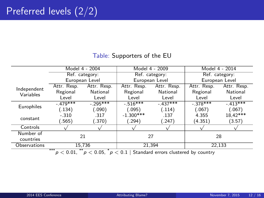### Table: Supporters of the EU

|                                                                                                                                                                             | Model 4 - 2004 |             | Model 4 - 2009   |             | Model 4 - 2014 |             |
|-----------------------------------------------------------------------------------------------------------------------------------------------------------------------------|----------------|-------------|------------------|-------------|----------------|-------------|
|                                                                                                                                                                             | Ref. category: |             | Ref. category:   |             | Ref. category: |             |
|                                                                                                                                                                             | European Level |             | European Level   |             | European Level |             |
| Independent                                                                                                                                                                 | Attr. Resp.    | Attr. Resp. | Attr. Resp.      | Attr. Resp. | Attr. Resp.    | Attr. Resp. |
| Variables                                                                                                                                                                   | Regional       | National    | Regional         | National    | Regional       | National    |
|                                                                                                                                                                             | Level          | Level       | Level            | Level       | Level          | Level       |
| Europhiles                                                                                                                                                                  | $-.479***$     | $-.295***$  | $-516***$        | $-.437***$  | $-.378***$     | $-.413***$  |
|                                                                                                                                                                             | (.134)         | .090)       | (.095)           | (.114)      | (.067)         | (.067)      |
| constant                                                                                                                                                                    | $-.310$        | .317        | $-1.300***$      | .137        | 4.355          | $18,42***$  |
|                                                                                                                                                                             | (.565)         | .370)       | $^{\prime}.294)$ | (247)       | (4.351)        | (3.57)      |
| Controls                                                                                                                                                                    |                |             |                  |             |                |             |
| Number of                                                                                                                                                                   | 21             |             | 27               |             | 28             |             |
| countries                                                                                                                                                                   |                |             |                  |             |                |             |
| Observations                                                                                                                                                                | 15.736         |             | 21.394           |             | 22.133         |             |
| ***<br>**<br>$\sim$ $\sim$ $\sim$<br>$\mathbf{a}$ $\mathbf{a}$ $\mathbf{b}$ $\mathbf{c}$ $\mathbf{c}$ $\mathbf{c}$ $\mathbf{d}$ $\mathbf{c}$<br>$\sim$ $\sim$ $\sim$<br>. . |                |             |                  |             |                |             |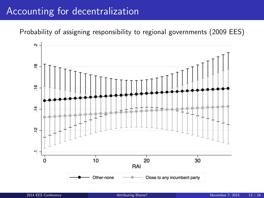# Accounting for decentralization

Probability of assigning responsibility to regional governments (2009 EES)

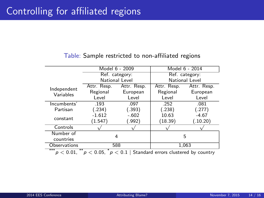#### Table: Sample restricted to non-affiliated regions

|                                                                                    |             | Model 6 - 2009 | Model 6 - 2014 |             |  |  |
|------------------------------------------------------------------------------------|-------------|----------------|----------------|-------------|--|--|
|                                                                                    |             | Ref. category: | Ref. category: |             |  |  |
|                                                                                    |             | National Level | National Level |             |  |  |
| Independent                                                                        | Attr. Resp. | Attr. Resp.    | Attr. Resp.    | Attr. Resp. |  |  |
| Variables                                                                          | Regional    | European       | Regional       | European    |  |  |
|                                                                                    | Level       | Level          | Level          | Level       |  |  |
| Incumbents'                                                                        | .193        | .097           | .252           | .081        |  |  |
| Partisan                                                                           | (.234)      | (.393)         | (.238)         | (.277)      |  |  |
|                                                                                    | $-1.612$    | $-.602$        | 10.63          | $-4.67$     |  |  |
| constant                                                                           | (1.547)     | (.992)         | (18.39)        | (.10.20)    |  |  |
| Controls                                                                           |             |                |                |             |  |  |
| Number of                                                                          |             |                |                |             |  |  |
| countries                                                                          | 4           |                | 5              |             |  |  |
| Observations                                                                       | 588         |                | 1,063          |             |  |  |
| ***<br>$p < 0.05$ , $p < 0.1$ Standard errors clustered by country<br>$p < 0.01$ . |             |                |                |             |  |  |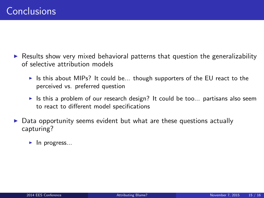- $\triangleright$  Results show very mixed behavioral patterns that question the generalizability of selective attribution models
	- In Is this about MIPs? It could be... though supporters of the EU react to the perceived vs. preferred question
	- If Its this a problem of our research design? It could be too... partisans also seem to react to different model specifications
- Data opportunity seems evident but what are these questions actually capturing?
	- $\blacktriangleright$  In progress...